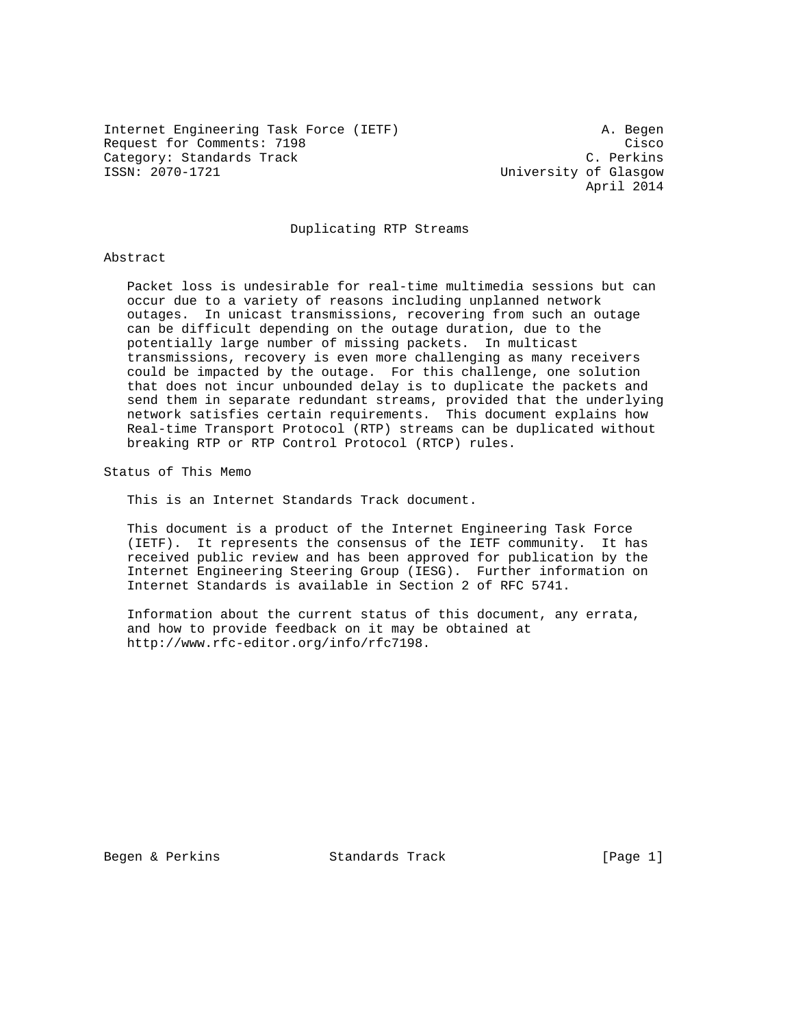Internet Engineering Task Force (IETF) A. Begen Request for Comments: 7198 Cisco Category: Standards Track C. Perkins<br>
C. Perkins C. Perkins<br>
Iniversity of Glasgow

University of Glasgow April 2014

### Duplicating RTP Streams

#### Abstract

 Packet loss is undesirable for real-time multimedia sessions but can occur due to a variety of reasons including unplanned network outages. In unicast transmissions, recovering from such an outage can be difficult depending on the outage duration, due to the potentially large number of missing packets. In multicast transmissions, recovery is even more challenging as many receivers could be impacted by the outage. For this challenge, one solution that does not incur unbounded delay is to duplicate the packets and send them in separate redundant streams, provided that the underlying network satisfies certain requirements. This document explains how Real-time Transport Protocol (RTP) streams can be duplicated without breaking RTP or RTP Control Protocol (RTCP) rules.

Status of This Memo

This is an Internet Standards Track document.

 This document is a product of the Internet Engineering Task Force (IETF). It represents the consensus of the IETF community. It has received public review and has been approved for publication by the Internet Engineering Steering Group (IESG). Further information on Internet Standards is available in Section 2 of RFC 5741.

 Information about the current status of this document, any errata, and how to provide feedback on it may be obtained at http://www.rfc-editor.org/info/rfc7198.

Begen & Perkins **Standards Track** [Page 1]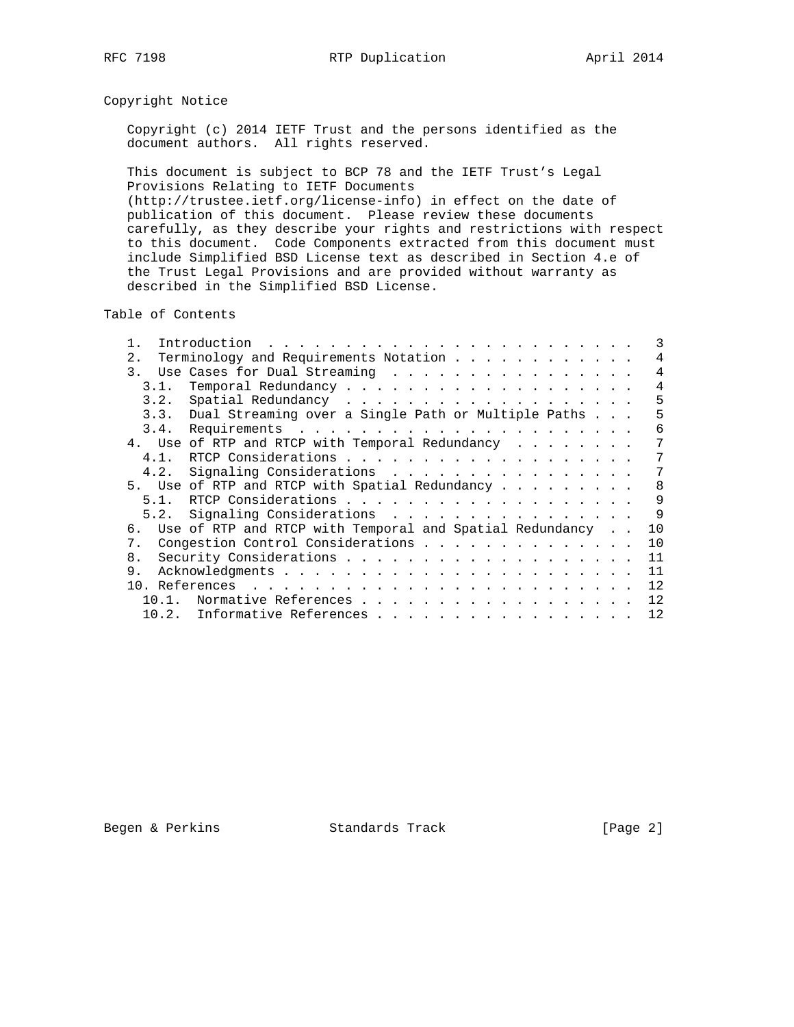# Copyright Notice

 Copyright (c) 2014 IETF Trust and the persons identified as the document authors. All rights reserved.

 This document is subject to BCP 78 and the IETF Trust's Legal Provisions Relating to IETF Documents (http://trustee.ietf.org/license-info) in effect on the date of publication of this document. Please review these documents carefully, as they describe your rights and restrictions with respect to this document. Code Components extracted from this document must include Simplified BSD License text as described in Section 4.e of the Trust Legal Provisions and are provided without warranty as described in the Simplified BSD License.

Table of Contents

|                 | 3                                                              |
|-----------------|----------------------------------------------------------------|
| 2.              | Terminology and Requirements Notation<br>4                     |
| $\mathcal{R}$ , | Use Cases for Dual Streaming<br>$\overline{4}$                 |
| 3.1.            | 4                                                              |
| 3.2.            | 5                                                              |
|                 | 3.3. Dual Streaming over a Single Path or Multiple Paths<br>5  |
|                 | 6                                                              |
|                 | 7<br>4. Use of RTP and RTCP with Temporal Redundancy           |
| 4.1.            | 7                                                              |
|                 | 4.2. Signaling Considerations<br>7                             |
|                 | 8<br>5. Use of RTP and RTCP with Spatial Redundancy            |
| 51              | 9                                                              |
|                 | 9<br>5.2. Signaling Considerations                             |
| б.              | Use of RTP and RTCP with Temporal and Spatial Redundancy<br>10 |
| $7_{\odot}$     | Congestion Control Considerations<br>10                        |
| 8.              | 11                                                             |
| 9.              | 11                                                             |
|                 | 12                                                             |
| $10.1$ .        | 12<br>Normative References                                     |
|                 | 12<br>10.2. Informative References                             |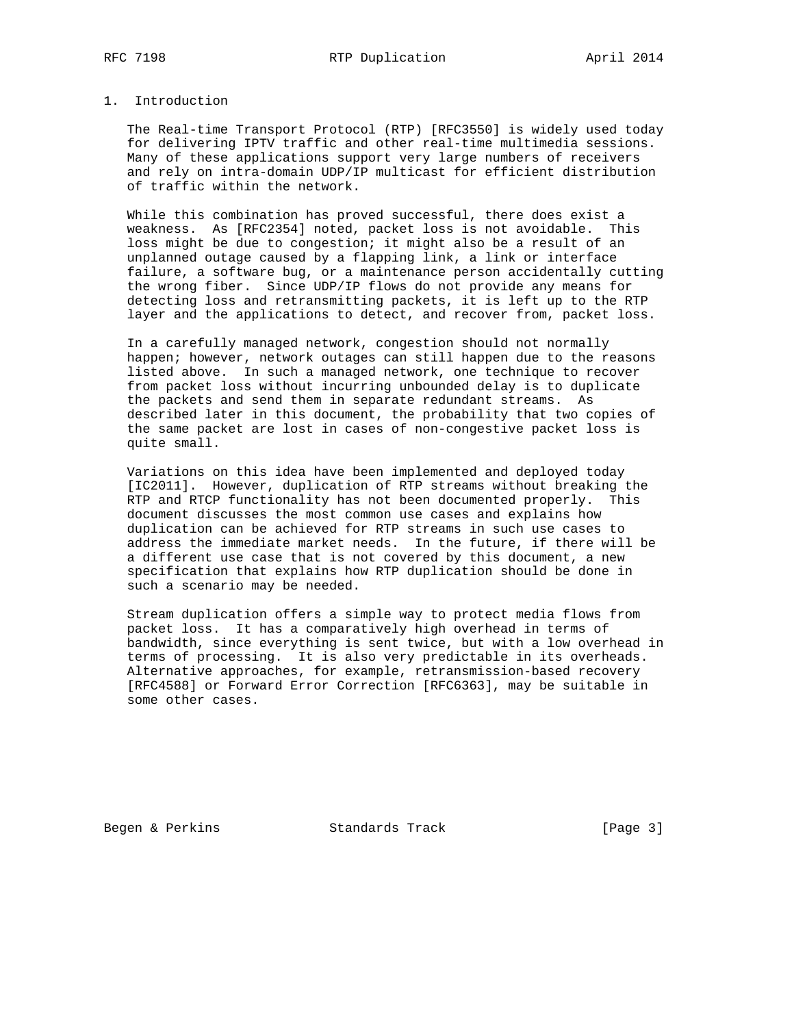## 1. Introduction

 The Real-time Transport Protocol (RTP) [RFC3550] is widely used today for delivering IPTV traffic and other real-time multimedia sessions. Many of these applications support very large numbers of receivers and rely on intra-domain UDP/IP multicast for efficient distribution of traffic within the network.

 While this combination has proved successful, there does exist a weakness. As [RFC2354] noted, packet loss is not avoidable. This loss might be due to congestion; it might also be a result of an unplanned outage caused by a flapping link, a link or interface failure, a software bug, or a maintenance person accidentally cutting the wrong fiber. Since UDP/IP flows do not provide any means for detecting loss and retransmitting packets, it is left up to the RTP layer and the applications to detect, and recover from, packet loss.

 In a carefully managed network, congestion should not normally happen; however, network outages can still happen due to the reasons listed above. In such a managed network, one technique to recover from packet loss without incurring unbounded delay is to duplicate the packets and send them in separate redundant streams. As described later in this document, the probability that two copies of the same packet are lost in cases of non-congestive packet loss is quite small.

 Variations on this idea have been implemented and deployed today [IC2011]. However, duplication of RTP streams without breaking the RTP and RTCP functionality has not been documented properly. This document discusses the most common use cases and explains how duplication can be achieved for RTP streams in such use cases to address the immediate market needs. In the future, if there will be a different use case that is not covered by this document, a new specification that explains how RTP duplication should be done in such a scenario may be needed.

 Stream duplication offers a simple way to protect media flows from packet loss. It has a comparatively high overhead in terms of bandwidth, since everything is sent twice, but with a low overhead in terms of processing. It is also very predictable in its overheads. Alternative approaches, for example, retransmission-based recovery [RFC4588] or Forward Error Correction [RFC6363], may be suitable in some other cases.

Begen & Perkins Standards Track [Page 3]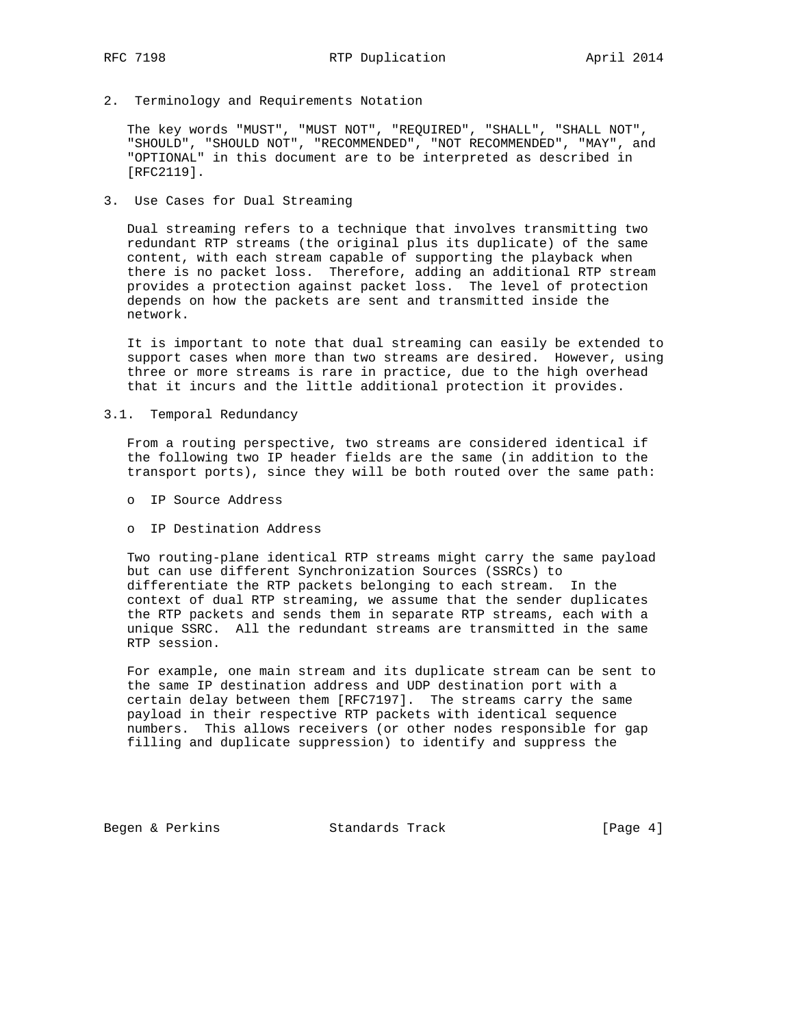2. Terminology and Requirements Notation

 The key words "MUST", "MUST NOT", "REQUIRED", "SHALL", "SHALL NOT", "SHOULD", "SHOULD NOT", "RECOMMENDED", "NOT RECOMMENDED", "MAY", and "OPTIONAL" in this document are to be interpreted as described in [RFC2119].

3. Use Cases for Dual Streaming

 Dual streaming refers to a technique that involves transmitting two redundant RTP streams (the original plus its duplicate) of the same content, with each stream capable of supporting the playback when there is no packet loss. Therefore, adding an additional RTP stream provides a protection against packet loss. The level of protection depends on how the packets are sent and transmitted inside the network.

 It is important to note that dual streaming can easily be extended to support cases when more than two streams are desired. However, using three or more streams is rare in practice, due to the high overhead that it incurs and the little additional protection it provides.

3.1. Temporal Redundancy

 From a routing perspective, two streams are considered identical if the following two IP header fields are the same (in addition to the transport ports), since they will be both routed over the same path:

- o IP Source Address
- o IP Destination Address

 Two routing-plane identical RTP streams might carry the same payload but can use different Synchronization Sources (SSRCs) to differentiate the RTP packets belonging to each stream. In the context of dual RTP streaming, we assume that the sender duplicates the RTP packets and sends them in separate RTP streams, each with a unique SSRC. All the redundant streams are transmitted in the same RTP session.

 For example, one main stream and its duplicate stream can be sent to the same IP destination address and UDP destination port with a certain delay between them [RFC7197]. The streams carry the same payload in their respective RTP packets with identical sequence numbers. This allows receivers (or other nodes responsible for gap filling and duplicate suppression) to identify and suppress the

Begen & Perkins **Standards Track** [Page 4]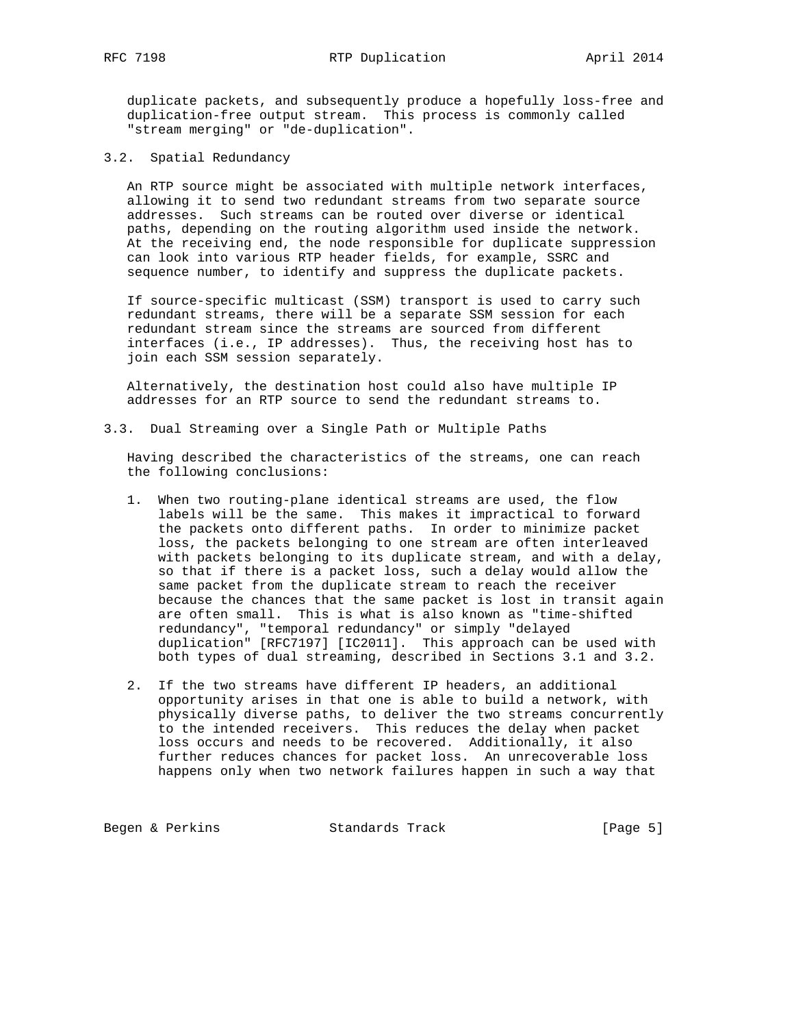duplicate packets, and subsequently produce a hopefully loss-free and duplication-free output stream. This process is commonly called "stream merging" or "de-duplication".

3.2. Spatial Redundancy

 An RTP source might be associated with multiple network interfaces, allowing it to send two redundant streams from two separate source addresses. Such streams can be routed over diverse or identical paths, depending on the routing algorithm used inside the network. At the receiving end, the node responsible for duplicate suppression can look into various RTP header fields, for example, SSRC and sequence number, to identify and suppress the duplicate packets.

 If source-specific multicast (SSM) transport is used to carry such redundant streams, there will be a separate SSM session for each redundant stream since the streams are sourced from different interfaces (i.e., IP addresses). Thus, the receiving host has to join each SSM session separately.

 Alternatively, the destination host could also have multiple IP addresses for an RTP source to send the redundant streams to.

3.3. Dual Streaming over a Single Path or Multiple Paths

 Having described the characteristics of the streams, one can reach the following conclusions:

- 1. When two routing-plane identical streams are used, the flow labels will be the same. This makes it impractical to forward the packets onto different paths. In order to minimize packet loss, the packets belonging to one stream are often interleaved with packets belonging to its duplicate stream, and with a delay, so that if there is a packet loss, such a delay would allow the same packet from the duplicate stream to reach the receiver because the chances that the same packet is lost in transit again are often small. This is what is also known as "time-shifted redundancy", "temporal redundancy" or simply "delayed duplication" [RFC7197] [IC2011]. This approach can be used with both types of dual streaming, described in Sections 3.1 and 3.2.
	- 2. If the two streams have different IP headers, an additional opportunity arises in that one is able to build a network, with physically diverse paths, to deliver the two streams concurrently to the intended receivers. This reduces the delay when packet loss occurs and needs to be recovered. Additionally, it also further reduces chances for packet loss. An unrecoverable loss happens only when two network failures happen in such a way that

Begen & Perkins **Standards Track** [Page 5]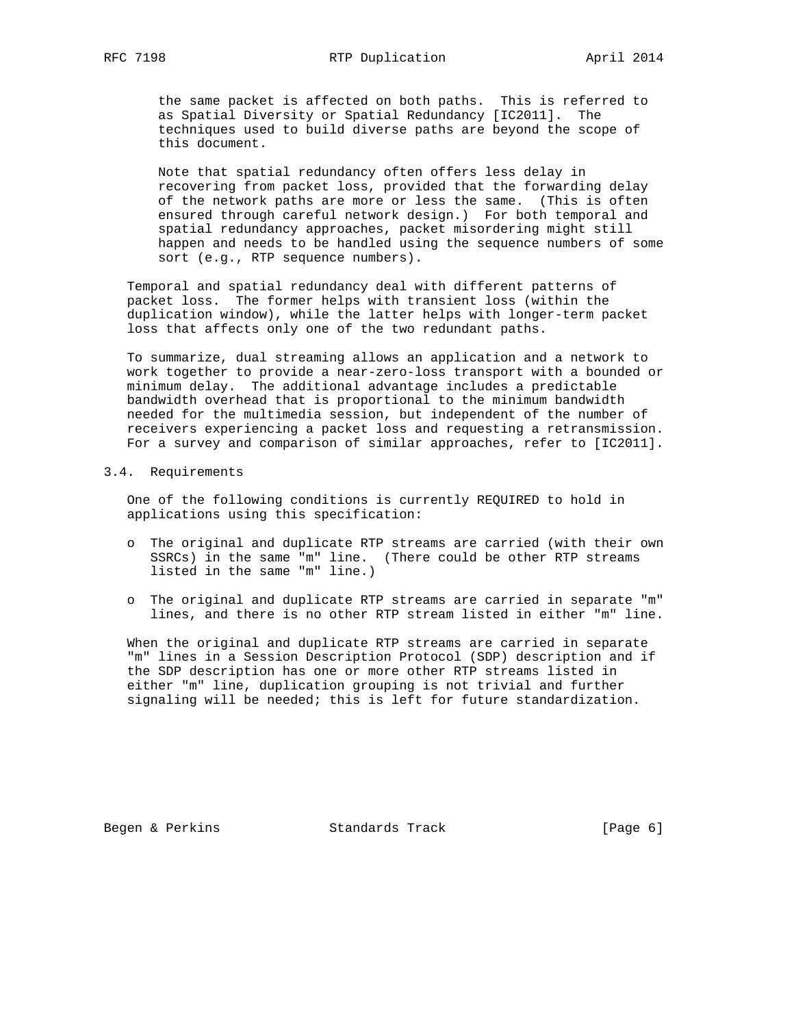the same packet is affected on both paths. This is referred to as Spatial Diversity or Spatial Redundancy [IC2011]. The techniques used to build diverse paths are beyond the scope of this document.

 Note that spatial redundancy often offers less delay in recovering from packet loss, provided that the forwarding delay of the network paths are more or less the same. (This is often ensured through careful network design.) For both temporal and spatial redundancy approaches, packet misordering might still happen and needs to be handled using the sequence numbers of some sort (e.g., RTP sequence numbers).

 Temporal and spatial redundancy deal with different patterns of packet loss. The former helps with transient loss (within the duplication window), while the latter helps with longer-term packet loss that affects only one of the two redundant paths.

 To summarize, dual streaming allows an application and a network to work together to provide a near-zero-loss transport with a bounded or minimum delay. The additional advantage includes a predictable bandwidth overhead that is proportional to the minimum bandwidth needed for the multimedia session, but independent of the number of receivers experiencing a packet loss and requesting a retransmission. For a survey and comparison of similar approaches, refer to [IC2011].

#### 3.4. Requirements

 One of the following conditions is currently REQUIRED to hold in applications using this specification:

- o The original and duplicate RTP streams are carried (with their own SSRCs) in the same "m" line. (There could be other RTP streams listed in the same "m" line.)
- o The original and duplicate RTP streams are carried in separate "m" lines, and there is no other RTP stream listed in either "m" line.

 When the original and duplicate RTP streams are carried in separate "m" lines in a Session Description Protocol (SDP) description and if the SDP description has one or more other RTP streams listed in either "m" line, duplication grouping is not trivial and further signaling will be needed; this is left for future standardization.

Begen & Perkins Standards Track [Page 6]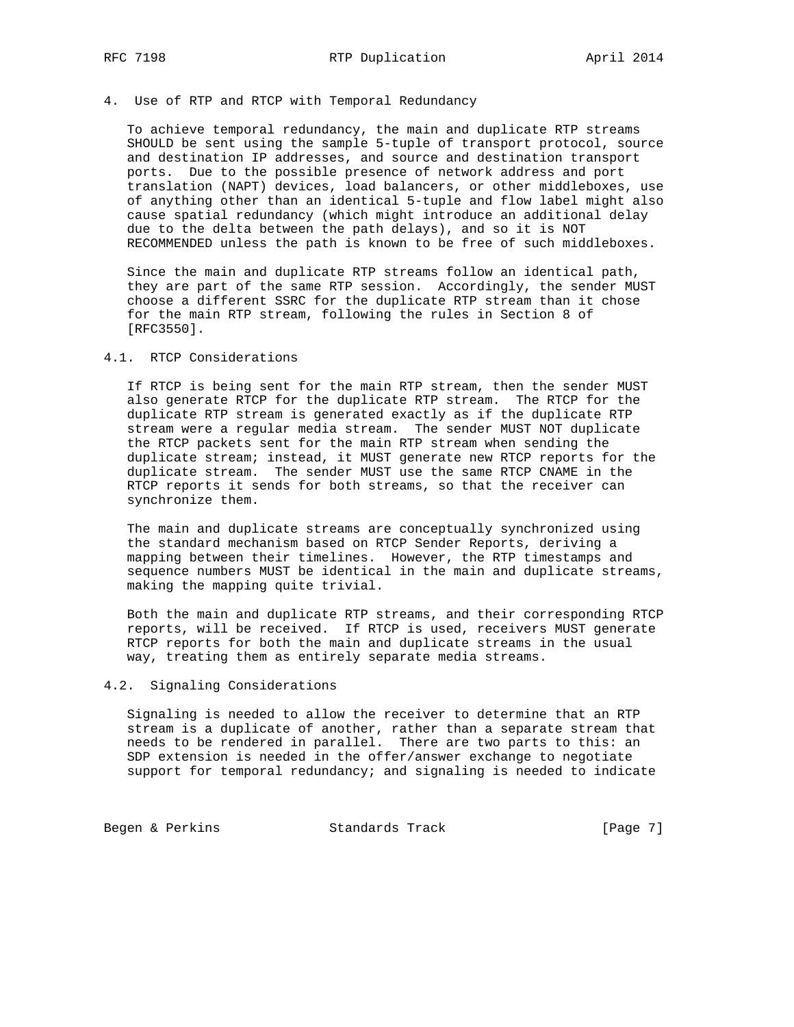# 4. Use of RTP and RTCP with Temporal Redundancy

 To achieve temporal redundancy, the main and duplicate RTP streams SHOULD be sent using the sample 5-tuple of transport protocol, source and destination IP addresses, and source and destination transport ports. Due to the possible presence of network address and port translation (NAPT) devices, load balancers, or other middleboxes, use of anything other than an identical 5-tuple and flow label might also cause spatial redundancy (which might introduce an additional delay due to the delta between the path delays), and so it is NOT RECOMMENDED unless the path is known to be free of such middleboxes.

 Since the main and duplicate RTP streams follow an identical path, they are part of the same RTP session. Accordingly, the sender MUST choose a different SSRC for the duplicate RTP stream than it chose for the main RTP stream, following the rules in Section 8 of [RFC3550].

### 4.1. RTCP Considerations

 If RTCP is being sent for the main RTP stream, then the sender MUST also generate RTCP for the duplicate RTP stream. The RTCP for the duplicate RTP stream is generated exactly as if the duplicate RTP stream were a regular media stream. The sender MUST NOT duplicate the RTCP packets sent for the main RTP stream when sending the duplicate stream; instead, it MUST generate new RTCP reports for the duplicate stream. The sender MUST use the same RTCP CNAME in the RTCP reports it sends for both streams, so that the receiver can synchronize them.

 The main and duplicate streams are conceptually synchronized using the standard mechanism based on RTCP Sender Reports, deriving a mapping between their timelines. However, the RTP timestamps and sequence numbers MUST be identical in the main and duplicate streams, making the mapping quite trivial.

 Both the main and duplicate RTP streams, and their corresponding RTCP reports, will be received. If RTCP is used, receivers MUST generate RTCP reports for both the main and duplicate streams in the usual way, treating them as entirely separate media streams.

### 4.2. Signaling Considerations

 Signaling is needed to allow the receiver to determine that an RTP stream is a duplicate of another, rather than a separate stream that needs to be rendered in parallel. There are two parts to this: an SDP extension is needed in the offer/answer exchange to negotiate support for temporal redundancy; and signaling is needed to indicate

Begen & Perkins Standards Track [Page 7]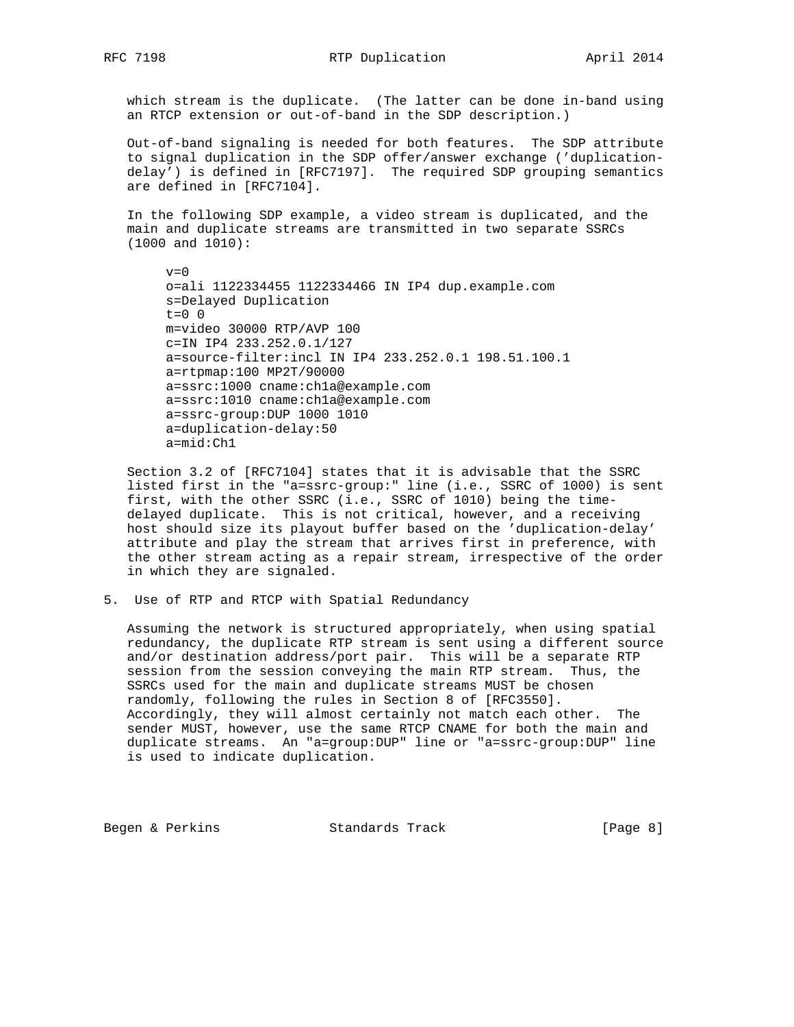which stream is the duplicate. (The latter can be done in-band using an RTCP extension or out-of-band in the SDP description.)

 Out-of-band signaling is needed for both features. The SDP attribute to signal duplication in the SDP offer/answer exchange ('duplication delay') is defined in [RFC7197]. The required SDP grouping semantics are defined in [RFC7104].

 In the following SDP example, a video stream is duplicated, and the main and duplicate streams are transmitted in two separate SSRCs (1000 and 1010):

 $v=0$  o=ali 1122334455 1122334466 IN IP4 dup.example.com s=Delayed Duplication  $t=0$  0 m=video 30000 RTP/AVP 100 c=IN IP4 233.252.0.1/127 a=source-filter:incl IN IP4 233.252.0.1 198.51.100.1 a=rtpmap:100 MP2T/90000 a=ssrc:1000 cname:ch1a@example.com a=ssrc:1010 cname:ch1a@example.com a=ssrc-group:DUP 1000 1010 a=duplication-delay:50 a=mid:Ch1

 Section 3.2 of [RFC7104] states that it is advisable that the SSRC listed first in the "a=ssrc-group:" line (i.e., SSRC of 1000) is sent first, with the other SSRC (i.e., SSRC of 1010) being the time delayed duplicate. This is not critical, however, and a receiving host should size its playout buffer based on the 'duplication-delay' attribute and play the stream that arrives first in preference, with the other stream acting as a repair stream, irrespective of the order in which they are signaled.

5. Use of RTP and RTCP with Spatial Redundancy

 Assuming the network is structured appropriately, when using spatial redundancy, the duplicate RTP stream is sent using a different source and/or destination address/port pair. This will be a separate RTP session from the session conveying the main RTP stream. Thus, the SSRCs used for the main and duplicate streams MUST be chosen randomly, following the rules in Section 8 of [RFC3550]. Accordingly, they will almost certainly not match each other. The sender MUST, however, use the same RTCP CNAME for both the main and duplicate streams. An "a=group:DUP" line or "a=ssrc-group:DUP" line is used to indicate duplication.

Begen & Perkins **Standards Track** [Page 8]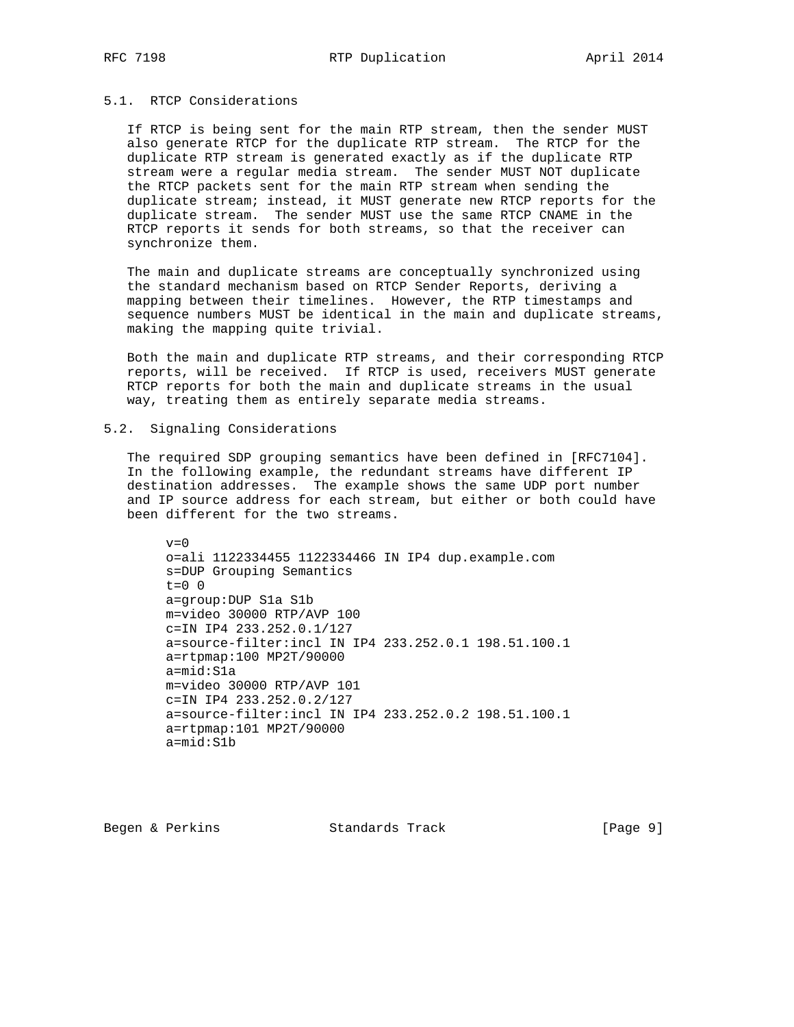### 5.1. RTCP Considerations

 If RTCP is being sent for the main RTP stream, then the sender MUST also generate RTCP for the duplicate RTP stream. The RTCP for the duplicate RTP stream is generated exactly as if the duplicate RTP stream were a regular media stream. The sender MUST NOT duplicate the RTCP packets sent for the main RTP stream when sending the duplicate stream; instead, it MUST generate new RTCP reports for the duplicate stream. The sender MUST use the same RTCP CNAME in the RTCP reports it sends for both streams, so that the receiver can synchronize them.

 The main and duplicate streams are conceptually synchronized using the standard mechanism based on RTCP Sender Reports, deriving a mapping between their timelines. However, the RTP timestamps and sequence numbers MUST be identical in the main and duplicate streams, making the mapping quite trivial.

 Both the main and duplicate RTP streams, and their corresponding RTCP reports, will be received. If RTCP is used, receivers MUST generate RTCP reports for both the main and duplicate streams in the usual way, treating them as entirely separate media streams.

### 5.2. Signaling Considerations

 The required SDP grouping semantics have been defined in [RFC7104]. In the following example, the redundant streams have different IP destination addresses. The example shows the same UDP port number and IP source address for each stream, but either or both could have been different for the two streams.

 $v=0$  o=ali 1122334455 1122334466 IN IP4 dup.example.com s=DUP Grouping Semantics  $t=0$  0 a=group:DUP S1a S1b m=video 30000 RTP/AVP 100 c=IN IP4 233.252.0.1/127 a=source-filter:incl IN IP4 233.252.0.1 198.51.100.1 a=rtpmap:100 MP2T/90000 a=mid:S1a m=video 30000 RTP/AVP 101 c=IN IP4 233.252.0.2/127 a=source-filter:incl IN IP4 233.252.0.2 198.51.100.1 a=rtpmap:101 MP2T/90000 a=mid:S1b

Begen & Perkins **Standards Track** [Page 9]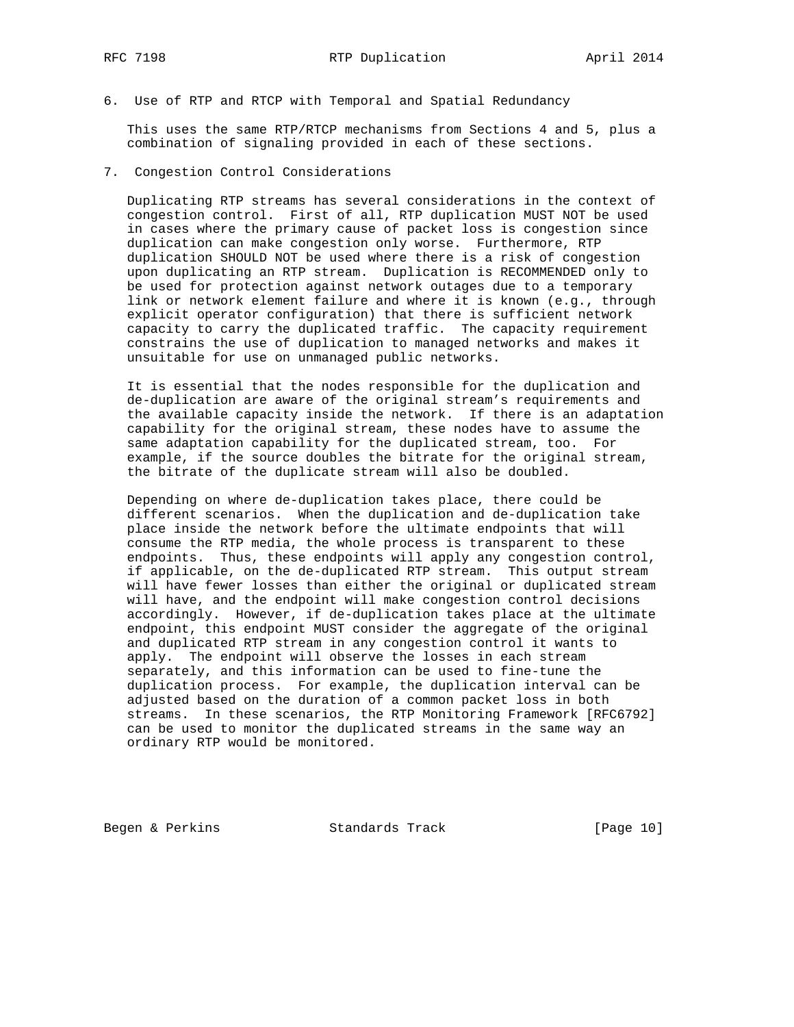6. Use of RTP and RTCP with Temporal and Spatial Redundancy

 This uses the same RTP/RTCP mechanisms from Sections 4 and 5, plus a combination of signaling provided in each of these sections.

7. Congestion Control Considerations

 Duplicating RTP streams has several considerations in the context of congestion control. First of all, RTP duplication MUST NOT be used in cases where the primary cause of packet loss is congestion since duplication can make congestion only worse. Furthermore, RTP duplication SHOULD NOT be used where there is a risk of congestion upon duplicating an RTP stream. Duplication is RECOMMENDED only to be used for protection against network outages due to a temporary link or network element failure and where it is known (e.g., through explicit operator configuration) that there is sufficient network capacity to carry the duplicated traffic. The capacity requirement constrains the use of duplication to managed networks and makes it unsuitable for use on unmanaged public networks.

 It is essential that the nodes responsible for the duplication and de-duplication are aware of the original stream's requirements and the available capacity inside the network. If there is an adaptation capability for the original stream, these nodes have to assume the same adaptation capability for the duplicated stream, too. For example, if the source doubles the bitrate for the original stream, the bitrate of the duplicate stream will also be doubled.

 Depending on where de-duplication takes place, there could be different scenarios. When the duplication and de-duplication take place inside the network before the ultimate endpoints that will consume the RTP media, the whole process is transparent to these endpoints. Thus, these endpoints will apply any congestion control, if applicable, on the de-duplicated RTP stream. This output stream will have fewer losses than either the original or duplicated stream will have, and the endpoint will make congestion control decisions accordingly. However, if de-duplication takes place at the ultimate endpoint, this endpoint MUST consider the aggregate of the original and duplicated RTP stream in any congestion control it wants to apply. The endpoint will observe the losses in each stream separately, and this information can be used to fine-tune the duplication process. For example, the duplication interval can be adjusted based on the duration of a common packet loss in both streams. In these scenarios, the RTP Monitoring Framework [RFC6792] can be used to monitor the duplicated streams in the same way an ordinary RTP would be monitored.

Begen & Perkins Standards Track [Page 10]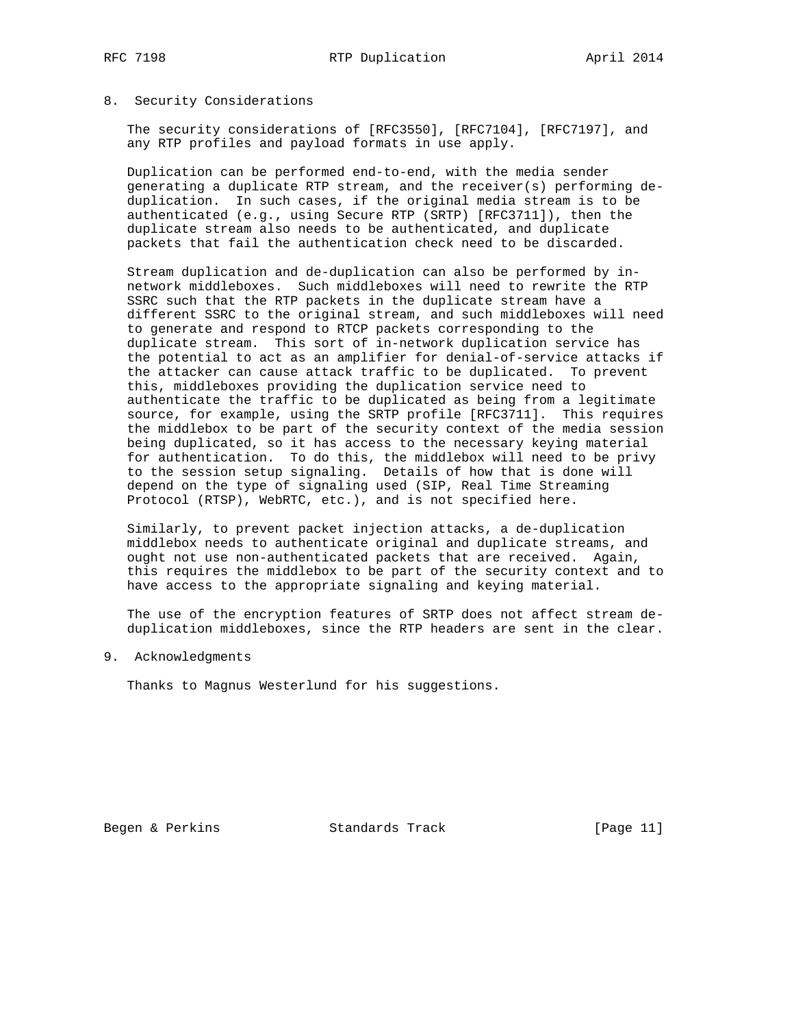#### 8. Security Considerations

 The security considerations of [RFC3550], [RFC7104], [RFC7197], and any RTP profiles and payload formats in use apply.

 Duplication can be performed end-to-end, with the media sender generating a duplicate RTP stream, and the receiver(s) performing de duplication. In such cases, if the original media stream is to be authenticated (e.g., using Secure RTP (SRTP) [RFC3711]), then the duplicate stream also needs to be authenticated, and duplicate packets that fail the authentication check need to be discarded.

 Stream duplication and de-duplication can also be performed by in network middleboxes. Such middleboxes will need to rewrite the RTP SSRC such that the RTP packets in the duplicate stream have a different SSRC to the original stream, and such middleboxes will need to generate and respond to RTCP packets corresponding to the duplicate stream. This sort of in-network duplication service has the potential to act as an amplifier for denial-of-service attacks if the attacker can cause attack traffic to be duplicated. To prevent this, middleboxes providing the duplication service need to authenticate the traffic to be duplicated as being from a legitimate source, for example, using the SRTP profile [RFC3711]. This requires the middlebox to be part of the security context of the media session being duplicated, so it has access to the necessary keying material for authentication. To do this, the middlebox will need to be privy to the session setup signaling. Details of how that is done will depend on the type of signaling used (SIP, Real Time Streaming Protocol (RTSP), WebRTC, etc.), and is not specified here.

 Similarly, to prevent packet injection attacks, a de-duplication middlebox needs to authenticate original and duplicate streams, and ought not use non-authenticated packets that are received. Again, this requires the middlebox to be part of the security context and to have access to the appropriate signaling and keying material.

 The use of the encryption features of SRTP does not affect stream de duplication middleboxes, since the RTP headers are sent in the clear.

#### 9. Acknowledgments

Thanks to Magnus Westerlund for his suggestions.

Begen & Perkins Standards Track [Page 11]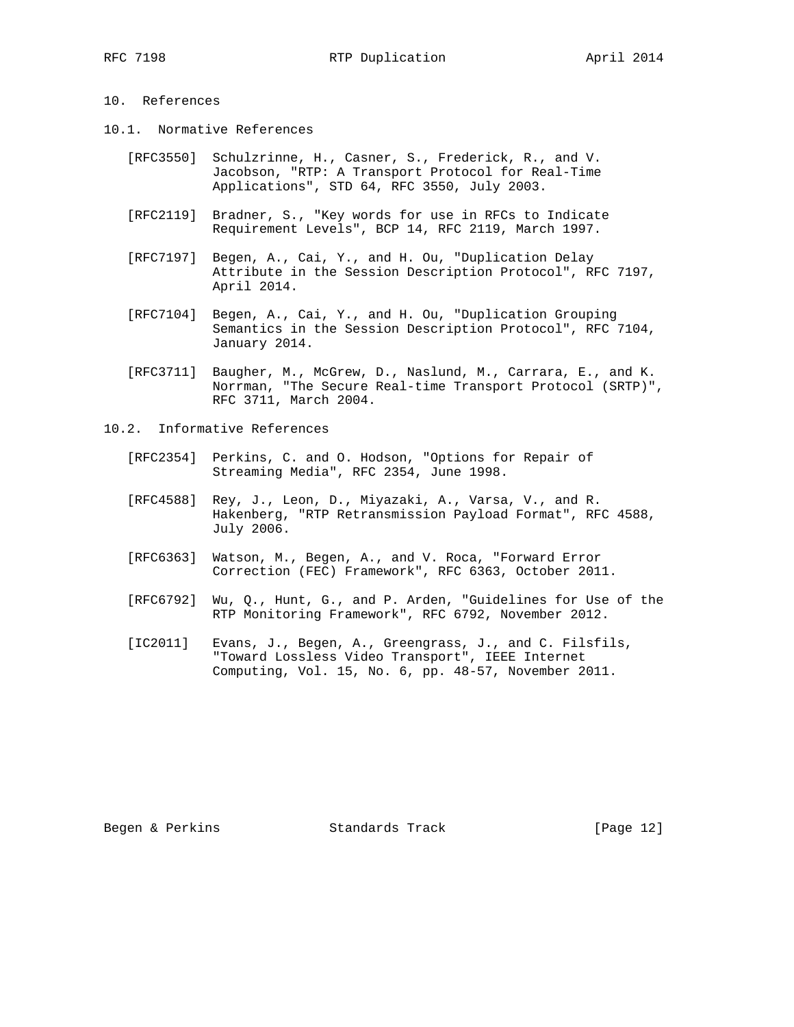# 10. References

- 10.1. Normative References
	- [RFC3550] Schulzrinne, H., Casner, S., Frederick, R., and V. Jacobson, "RTP: A Transport Protocol for Real-Time Applications", STD 64, RFC 3550, July 2003.
	- [RFC2119] Bradner, S., "Key words for use in RFCs to Indicate Requirement Levels", BCP 14, RFC 2119, March 1997.
	- [RFC7197] Begen, A., Cai, Y., and H. Ou, "Duplication Delay Attribute in the Session Description Protocol", RFC 7197, April 2014.
	- [RFC7104] Begen, A., Cai, Y., and H. Ou, "Duplication Grouping Semantics in the Session Description Protocol", RFC 7104, January 2014.
	- [RFC3711] Baugher, M., McGrew, D., Naslund, M., Carrara, E., and K. Norrman, "The Secure Real-time Transport Protocol (SRTP)", RFC 3711, March 2004.
- 10.2. Informative References
- [RFC2354] Perkins, C. and O. Hodson, "Options for Repair of Streaming Media", RFC 2354, June 1998.
	- [RFC4588] Rey, J., Leon, D., Miyazaki, A., Varsa, V., and R. Hakenberg, "RTP Retransmission Payload Format", RFC 4588, July 2006.
	- [RFC6363] Watson, M., Begen, A., and V. Roca, "Forward Error Correction (FEC) Framework", RFC 6363, October 2011.
	- [RFC6792] Wu, Q., Hunt, G., and P. Arden, "Guidelines for Use of the RTP Monitoring Framework", RFC 6792, November 2012.
	- [IC2011] Evans, J., Begen, A., Greengrass, J., and C. Filsfils, "Toward Lossless Video Transport", IEEE Internet Computing, Vol. 15, No. 6, pp. 48-57, November 2011.

Begen & Perkins **Standards Track** [Page 12]